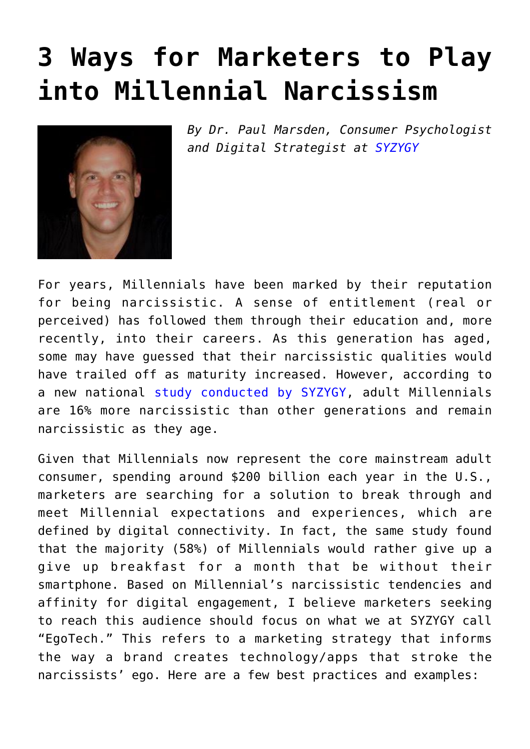## **[3 Ways for Marketers to Play](https://www.commpro.biz/3-ways-for-marketers-to-play-into-millennial-narcissism/) [into Millennial Narcissism](https://www.commpro.biz/3-ways-for-marketers-to-play-into-millennial-narcissism/)**



*By Dr. Paul Marsden, Consumer Psychologist and Digital Strategist at [SYZYGY](https://www.syzygy.net/global/en)*

For years, Millennials have been marked by their reputation for being narcissistic. A sense of entitlement (real or perceived) has followed them through their education and, more recently, into their careers. As this generation has aged, some may have guessed that their narcissistic qualities would have trailed off as maturity increased. However, according to a new national [study conducted by SYZYGY](https://syzygyny.app.box.com/s/ipepbbhydi1pev18qcow5k50tt3bq0k5), adult Millennials are 16% more narcissistic than other generations and remain narcissistic as they age.

Given that Millennials now represent the core mainstream adult consumer, spending around \$200 billion each year in the U.S., marketers are searching for a solution to break through and meet Millennial expectations and experiences, which are defined by digital connectivity. In fact, the same study found that the majority (58%) of Millennials would rather give up a give up breakfast for a month that be without their smartphone. Based on Millennial's narcissistic tendencies and affinity for digital engagement, I believe marketers seeking to reach this audience should focus on what we at SYZYGY call "EgoTech." This refers to a marketing strategy that informs the way a brand creates technology/apps that stroke the narcissists' ego. Here are a few best practices and examples: